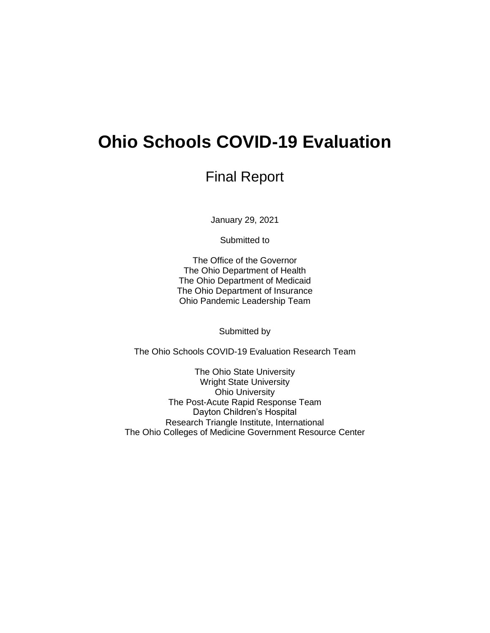# **Ohio Schools COVID-19 Evaluation**

## Final Report

January 29, 2021

Submitted to

The Office of the Governor The Ohio Department of Health The Ohio Department of Medicaid The Ohio Department of Insurance Ohio Pandemic Leadership Team

Submitted by

The Ohio Schools COVID-19 Evaluation Research Team

The Ohio State University Wright State University Ohio University The Post-Acute Rapid Response Team Dayton Children's Hospital Research Triangle Institute, International The Ohio Colleges of Medicine Government Resource Center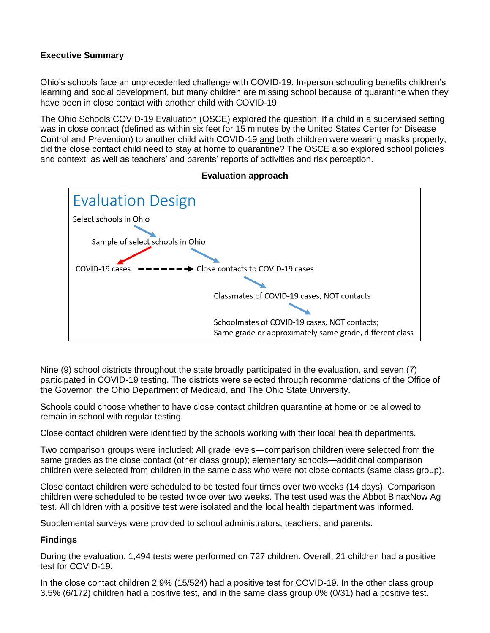#### **Executive Summary**

Ohio's schools face an unprecedented challenge with COVID-19. In-person schooling benefits children's learning and social development, but many children are missing school because of quarantine when they have been in close contact with another child with COVID-19.

The Ohio Schools COVID-19 Evaluation (OSCE) explored the question: If a child in a supervised setting was in close contact (defined as within six feet for 15 minutes by the United States Center for Disease Control and Prevention) to another child with COVID-19 and both children were wearing masks properly, did the close contact child need to stay at home to quarantine? The OSCE also explored school policies and context, as well as teachers' and parents' reports of activities and risk perception.



**Evaluation approach**

Nine (9) school districts throughout the state broadly participated in the evaluation, and seven (7) participated in COVID-19 testing. The districts were selected through recommendations of the Office of the Governor, the Ohio Department of Medicaid, and The Ohio State University.

Schools could choose whether to have close contact children quarantine at home or be allowed to remain in school with regular testing.

Close contact children were identified by the schools working with their local health departments.

Two comparison groups were included: All grade levels—comparison children were selected from the same grades as the close contact (other class group); elementary schools—additional comparison children were selected from children in the same class who were not close contacts (same class group).

Close contact children were scheduled to be tested four times over two weeks (14 days). Comparison children were scheduled to be tested twice over two weeks. The test used was the Abbot BinaxNow Ag test. All children with a positive test were isolated and the local health department was informed.

Supplemental surveys were provided to school administrators, teachers, and parents.

#### **Findings**

During the evaluation, 1,494 tests were performed on 727 children. Overall, 21 children had a positive test for COVID-19.

In the close contact children 2.9% (15/524) had a positive test for COVID-19. In the other class group 3.5% (6/172) children had a positive test, and in the same class group 0% (0/31) had a positive test.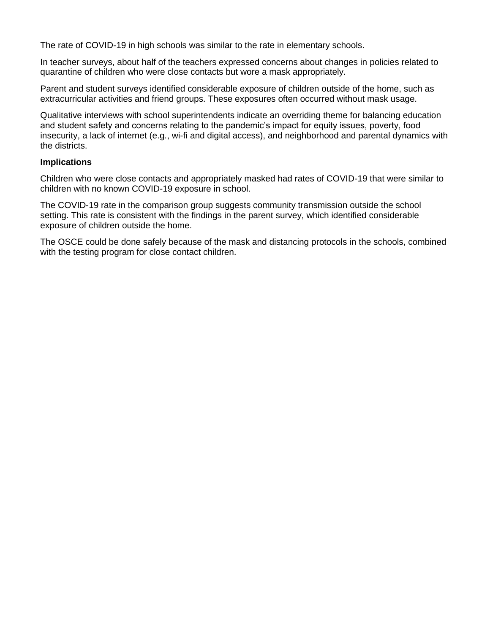The rate of COVID-19 in high schools was similar to the rate in elementary schools.

In teacher surveys, about half of the teachers expressed concerns about changes in policies related to quarantine of children who were close contacts but wore a mask appropriately.

Parent and student surveys identified considerable exposure of children outside of the home, such as extracurricular activities and friend groups. These exposures often occurred without mask usage.

Qualitative interviews with school superintendents indicate an overriding theme for balancing education and student safety and concerns relating to the pandemic's impact for equity issues, poverty, food insecurity, a lack of internet (e.g., wi-fi and digital access), and neighborhood and parental dynamics with the districts.

#### **Implications**

Children who were close contacts and appropriately masked had rates of COVID-19 that were similar to children with no known COVID-19 exposure in school.

The COVID-19 rate in the comparison group suggests community transmission outside the school setting. This rate is consistent with the findings in the parent survey, which identified considerable exposure of children outside the home.

The OSCE could be done safely because of the mask and distancing protocols in the schools, combined with the testing program for close contact children.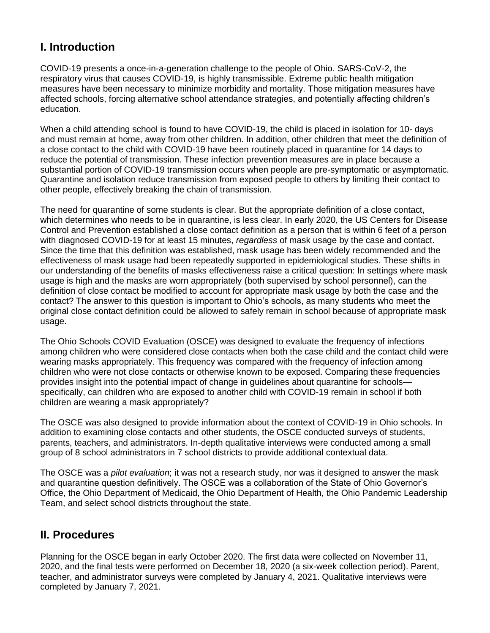## **I. Introduction**

COVID-19 presents a once-in-a-generation challenge to the people of Ohio. SARS-CoV-2, the respiratory virus that causes COVID-19, is highly transmissible. Extreme public health mitigation measures have been necessary to minimize morbidity and mortality. Those mitigation measures have affected schools, forcing alternative school attendance strategies, and potentially affecting children's education.

When a child attending school is found to have COVID-19, the child is placed in isolation for 10- days and must remain at home, away from other children. In addition, other children that meet the definition of a close contact to the child with COVID-19 have been routinely placed in quarantine for 14 days to reduce the potential of transmission. These infection prevention measures are in place because a substantial portion of COVID-19 transmission occurs when people are pre-symptomatic or asymptomatic. Quarantine and isolation reduce transmission from exposed people to others by limiting their contact to other people, effectively breaking the chain of transmission.

The need for quarantine of some students is clear. But the appropriate definition of a close contact, which determines who needs to be in quarantine, is less clear. In early 2020, the US Centers for Disease Control and Prevention established a close contact definition as a person that is within 6 feet of a person with diagnosed COVID-19 for at least 15 minutes, *regardless* of mask usage by the case and contact. Since the time that this definition was established, mask usage has been widely recommended and the effectiveness of mask usage had been repeatedly supported in epidemiological studies. These shifts in our understanding of the benefits of masks effectiveness raise a critical question: In settings where mask usage is high and the masks are worn appropriately (both supervised by school personnel), can the definition of close contact be modified to account for appropriate mask usage by both the case and the contact? The answer to this question is important to Ohio's schools, as many students who meet the original close contact definition could be allowed to safely remain in school because of appropriate mask usage.

The Ohio Schools COVID Evaluation (OSCE) was designed to evaluate the frequency of infections among children who were considered close contacts when both the case child and the contact child were wearing masks appropriately. This frequency was compared with the frequency of infection among children who were not close contacts or otherwise known to be exposed. Comparing these frequencies provides insight into the potential impact of change in guidelines about quarantine for schools specifically, can children who are exposed to another child with COVID-19 remain in school if both children are wearing a mask appropriately?

The OSCE was also designed to provide information about the context of COVID-19 in Ohio schools. In addition to examining close contacts and other students, the OSCE conducted surveys of students, parents, teachers, and administrators. In-depth qualitative interviews were conducted among a small group of 8 school administrators in 7 school districts to provide additional contextual data.

The OSCE was a *pilot evaluation*; it was not a research study, nor was it designed to answer the mask and quarantine question definitively. The OSCE was a collaboration of the State of Ohio Governor's Office, the Ohio Department of Medicaid, the Ohio Department of Health, the Ohio Pandemic Leadership Team, and select school districts throughout the state.

## **II. Procedures**

Planning for the OSCE began in early October 2020. The first data were collected on November 11, 2020, and the final tests were performed on December 18, 2020 (a six-week collection period). Parent, teacher, and administrator surveys were completed by January 4, 2021. Qualitative interviews were completed by January 7, 2021.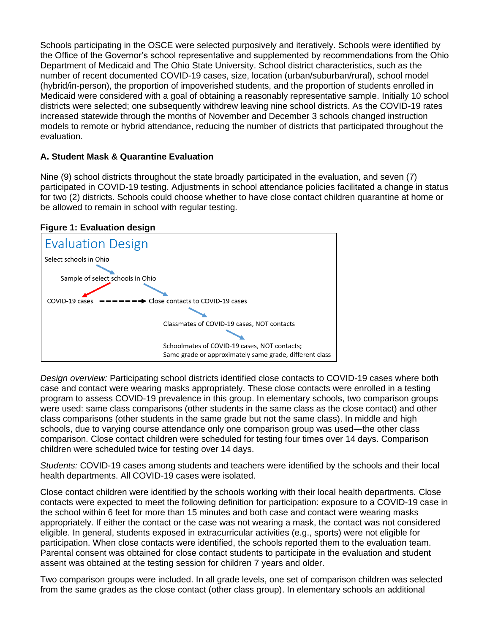Schools participating in the OSCE were selected purposively and iteratively. Schools were identified by the Office of the Governor's school representative and supplemented by recommendations from the Ohio Department of Medicaid and The Ohio State University. School district characteristics, such as the number of recent documented COVID-19 cases, size, location (urban/suburban/rural), school model (hybrid/in-person), the proportion of impoverished students, and the proportion of students enrolled in Medicaid were considered with a goal of obtaining a reasonably representative sample. Initially 10 school districts were selected; one subsequently withdrew leaving nine school districts. As the COVID-19 rates increased statewide through the months of November and December 3 schools changed instruction models to remote or hybrid attendance, reducing the number of districts that participated throughout the evaluation.

#### **A. Student Mask & Quarantine Evaluation**

Nine (9) school districts throughout the state broadly participated in the evaluation, and seven (7) participated in COVID-19 testing. Adjustments in school attendance policies facilitated a change in status for two (2) districts. Schools could choose whether to have close contact children quarantine at home or be allowed to remain in school with regular testing.

#### **Figure 1: Evaluation design**



*Design overview:* Participating school districts identified close contacts to COVID-19 cases where both case and contact were wearing masks appropriately. These close contacts were enrolled in a testing program to assess COVID-19 prevalence in this group. In elementary schools, two comparison groups were used: same class comparisons (other students in the same class as the close contact) and other class comparisons (other students in the same grade but not the same class). In middle and high schools, due to varying course attendance only one comparison group was used—the other class comparison. Close contact children were scheduled for testing four times over 14 days. Comparison children were scheduled twice for testing over 14 days.

*Students:* COVID-19 cases among students and teachers were identified by the schools and their local health departments. All COVID-19 cases were isolated.

Close contact children were identified by the schools working with their local health departments. Close contacts were expected to meet the following definition for participation: exposure to a COVID-19 case in the school within 6 feet for more than 15 minutes and both case and contact were wearing masks appropriately. If either the contact or the case was not wearing a mask, the contact was not considered eligible. In general, students exposed in extracurricular activities (e.g., sports) were not eligible for participation. When close contacts were identified, the schools reported them to the evaluation team. Parental consent was obtained for close contact students to participate in the evaluation and student assent was obtained at the testing session for children 7 years and older.

Two comparison groups were included. In all grade levels, one set of comparison children was selected from the same grades as the close contact (other class group). In elementary schools an additional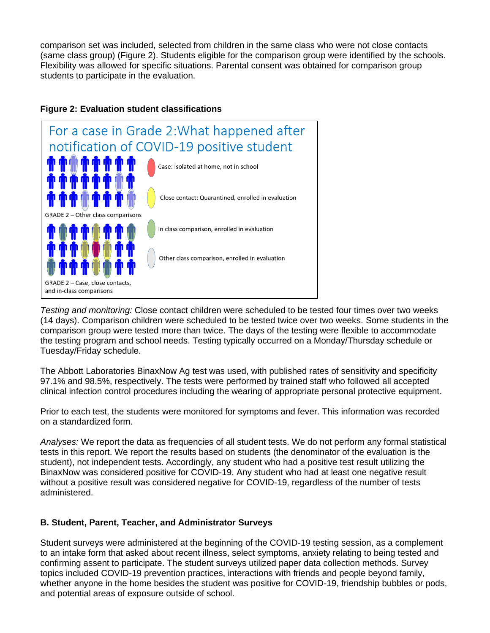comparison set was included, selected from children in the same class who were not close contacts (same class group) (Figure 2). Students eligible for the comparison group were identified by the schools. Flexibility was allowed for specific situations. Parental consent was obtained for comparison group students to participate in the evaluation.



#### **Figure 2: Evaluation student classifications**

*Testing and monitoring:* Close contact children were scheduled to be tested four times over two weeks (14 days). Comparison children were scheduled to be tested twice over two weeks. Some students in the comparison group were tested more than twice. The days of the testing were flexible to accommodate the testing program and school needs. Testing typically occurred on a Monday/Thursday schedule or Tuesday/Friday schedule.

The Abbott Laboratories BinaxNow Ag test was used, with published rates of sensitivity and specificity 97.1% and 98.5%, respectively. The tests were performed by trained staff who followed all accepted clinical infection control procedures including the wearing of appropriate personal protective equipment.

Prior to each test, the students were monitored for symptoms and fever. This information was recorded on a standardized form.

*Analyses:* We report the data as frequencies of all student tests. We do not perform any formal statistical tests in this report. We report the results based on students (the denominator of the evaluation is the student), not independent tests. Accordingly, any student who had a positive test result utilizing the BinaxNow was considered positive for COVID-19. Any student who had at least one negative result without a positive result was considered negative for COVID-19, regardless of the number of tests administered.

#### **B. Student, Parent, Teacher, and Administrator Surveys**

Student surveys were administered at the beginning of the COVID-19 testing session, as a complement to an intake form that asked about recent illness, select symptoms, anxiety relating to being tested and confirming assent to participate. The student surveys utilized paper data collection methods. Survey topics included COVID-19 prevention practices, interactions with friends and people beyond family, whether anyone in the home besides the student was positive for COVID-19, friendship bubbles or pods, and potential areas of exposure outside of school.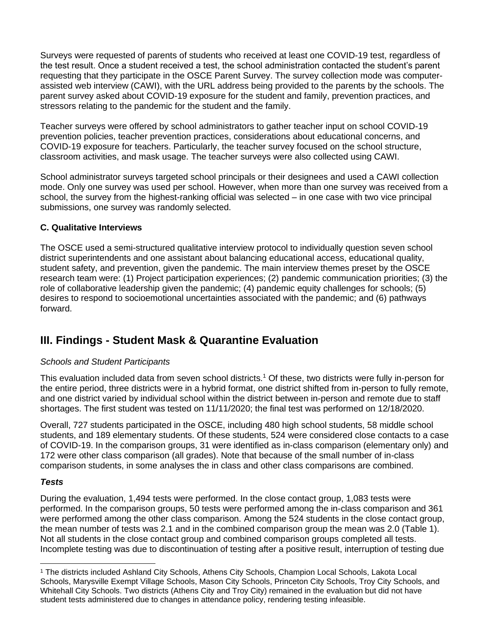Surveys were requested of parents of students who received at least one COVID-19 test, regardless of the test result. Once a student received a test, the school administration contacted the student's parent requesting that they participate in the OSCE Parent Survey. The survey collection mode was computerassisted web interview (CAWI), with the URL address being provided to the parents by the schools. The parent survey asked about COVID-19 exposure for the student and family, prevention practices, and stressors relating to the pandemic for the student and the family.

Teacher surveys were offered by school administrators to gather teacher input on school COVID-19 prevention policies, teacher prevention practices, considerations about educational concerns, and COVID-19 exposure for teachers. Particularly, the teacher survey focused on the school structure, classroom activities, and mask usage. The teacher surveys were also collected using CAWI.

School administrator surveys targeted school principals or their designees and used a CAWI collection mode. Only one survey was used per school. However, when more than one survey was received from a school, the survey from the highest-ranking official was selected – in one case with two vice principal submissions, one survey was randomly selected.

#### **C. Qualitative Interviews**

The OSCE used a semi-structured qualitative interview protocol to individually question seven school district superintendents and one assistant about balancing educational access, educational quality, student safety, and prevention, given the pandemic. The main interview themes preset by the OSCE research team were: (1) Project participation experiences; (2) pandemic communication priorities; (3) the role of collaborative leadership given the pandemic; (4) pandemic equity challenges for schools; (5) desires to respond to socioemotional uncertainties associated with the pandemic; and (6) pathways forward.

## **III. Findings - Student Mask & Quarantine Evaluation**

#### *Schools and Student Participants*

This evaluation included data from seven school districts.<sup>1</sup> Of these, two districts were fully in-person for the entire period, three districts were in a hybrid format, one district shifted from in-person to fully remote, and one district varied by individual school within the district between in-person and remote due to staff shortages. The first student was tested on 11/11/2020; the final test was performed on 12/18/2020.

Overall, 727 students participated in the OSCE, including 480 high school students, 58 middle school students, and 189 elementary students. Of these students, 524 were considered close contacts to a case of COVID-19. In the comparison groups, 31 were identified as in-class comparison (elementary only) and 172 were other class comparison (all grades). Note that because of the small number of in-class comparison students, in some analyses the in class and other class comparisons are combined.

#### *Tests*

During the evaluation, 1,494 tests were performed. In the close contact group, 1,083 tests were performed. In the comparison groups, 50 tests were performed among the in-class comparison and 361 were performed among the other class comparison. Among the 524 students in the close contact group, the mean number of tests was 2.1 and in the combined comparison group the mean was 2.0 (Table 1). Not all students in the close contact group and combined comparison groups completed all tests. Incomplete testing was due to discontinuation of testing after a positive result, interruption of testing due

<sup>1</sup> The districts included Ashland City Schools, Athens City Schools, Champion Local Schools, Lakota Local Schools, Marysville Exempt Village Schools, Mason City Schools, Princeton City Schools, Troy City Schools, and Whitehall City Schools. Two districts (Athens City and Troy City) remained in the evaluation but did not have student tests administered due to changes in attendance policy, rendering testing infeasible.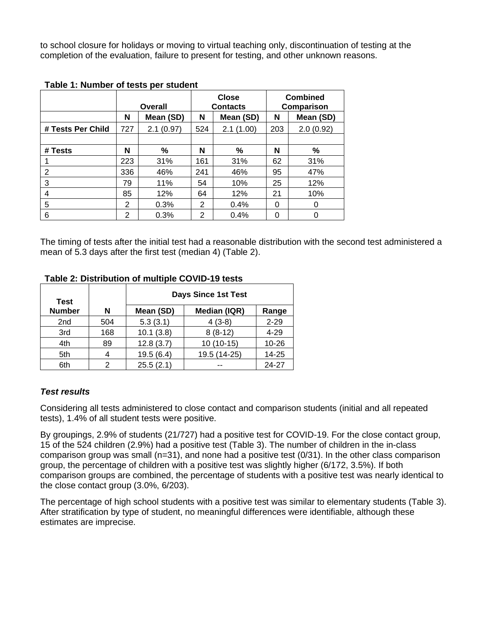to school closure for holidays or moving to virtual teaching only, discontinuation of testing at the completion of the evaluation, failure to present for testing, and other unknown reasons.

|                   | Overall        |           | <b>Close</b><br><b>Contacts</b> |           | <b>Combined</b><br>Comparison |           |
|-------------------|----------------|-----------|---------------------------------|-----------|-------------------------------|-----------|
|                   | N              | Mean (SD) | N                               | Mean (SD) | N                             | Mean (SD) |
| # Tests Per Child | 727            | 2.1(0.97) | 524                             | 2.1(1.00) | 203                           | 2.0(0.92) |
|                   |                |           |                                 |           |                               |           |
| # Tests           | N              | %         | N                               | %         | N                             | %         |
|                   | 223            | 31%       | 161                             | 31%       | 62                            | 31%       |
| $\overline{2}$    | 336            | 46%       | 241                             | 46%       | 95                            | 47%       |
| 3                 | 79             | 11%       | 54                              | 10%       | 25                            | 12%       |
| 4                 | 85             | 12%       | 64                              | 12%       | 21                            | 10%       |
| 5                 | 2              | 0.3%      | 2                               | 0.4%      | 0                             | 0         |
| 6                 | $\overline{2}$ | 0.3%      | 2                               | 0.4%      | 0                             | ი         |

#### **Table 1: Number of tests per student**

The timing of tests after the initial test had a reasonable distribution with the second test administered a mean of 5.3 days after the first test (median 4) (Table 2).

#### **Table 2: Distribution of multiple COVID-19 tests**

| <b>Test</b>     |     | <b>Days Since 1st Test</b> |              |           |  |
|-----------------|-----|----------------------------|--------------|-----------|--|
| <b>Number</b>   | N   | Mean (SD)                  | Median (IQR) | Range     |  |
| 2 <sub>nd</sub> | 504 | 5.3(3.1)                   | $4(3-8)$     | $2 - 29$  |  |
| 3rd             | 168 | 10.1(3.8)                  | $8(8-12)$    | 4-29      |  |
| 4th             | 89  | 12.8(3.7)                  | $10(10-15)$  | $10 - 26$ |  |
| 5th             |     | 19.5(6.4)                  | 19.5 (14-25) | 14-25     |  |
| 6th             | っ   | 25.5(2.1)                  |              | 24-27     |  |

#### *Test results*

Considering all tests administered to close contact and comparison students (initial and all repeated tests), 1.4% of all student tests were positive.

By groupings, 2.9% of students (21/727) had a positive test for COVID-19. For the close contact group, 15 of the 524 children (2.9%) had a positive test (Table 3). The number of children in the in-class comparison group was small (n=31), and none had a positive test (0/31). In the other class comparison group, the percentage of children with a positive test was slightly higher (6/172, 3.5%). If both comparison groups are combined, the percentage of students with a positive test was nearly identical to the close contact group (3.0%, 6/203).

The percentage of high school students with a positive test was similar to elementary students (Table 3). After stratification by type of student, no meaningful differences were identifiable, although these estimates are imprecise.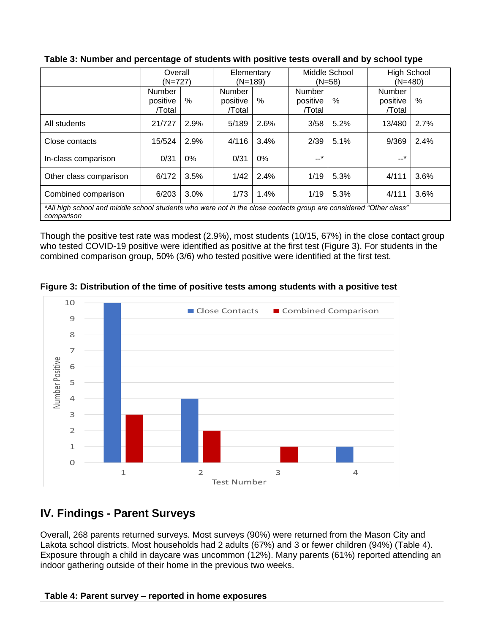|                                                                                                                                 | Overall<br>$(N=727)$         |       | Elementary<br>$(N=189)$      |      | Middle School<br>$(N=58)$    |      | <b>High School</b><br>$(N=480)$ |      |
|---------------------------------------------------------------------------------------------------------------------------------|------------------------------|-------|------------------------------|------|------------------------------|------|---------------------------------|------|
|                                                                                                                                 | Number<br>positive<br>/Total | $\%$  | Number<br>positive<br>/Total | %    | Number<br>positive<br>/Total | $\%$ | Number<br>positive<br>/Total    | %    |
| All students                                                                                                                    | 21/727                       | 2.9%  | 5/189                        | 2.6% | 3/58                         | 5.2% | 13/480                          | 2.7% |
| Close contacts                                                                                                                  | 15/524                       | 2.9%  | 4/116                        | 3.4% | 2/39                         | 5.1% | 9/369                           | 2.4% |
| In-class comparison                                                                                                             | 0/31                         | $0\%$ | 0/31                         | 0%   | --*                          |      | *                               |      |
| Other class comparison                                                                                                          | 6/172                        | 3.5%  | 1/42                         | 2.4% | 1/19                         | 5.3% | 4/111                           | 3.6% |
| Combined comparison                                                                                                             | 6/203                        | 3.0%  | 1/73                         | 1.4% | 1/19                         | 5.3% | 4/111                           | 3.6% |
| *All high school and middle school students who were not in the close contacts group are considered "Other class"<br>comparison |                              |       |                              |      |                              |      |                                 |      |

#### **Table 3: Number and percentage of students with positive tests overall and by school type**

Though the positive test rate was modest (2.9%), most students (10/15, 67%) in the close contact group who tested COVID-19 positive were identified as positive at the first test (Figure 3). For students in the combined comparison group, 50% (3/6) who tested positive were identified at the first test.



**Figure 3: Distribution of the time of positive tests among students with a positive test**

## **IV. Findings - Parent Surveys**

Overall, 268 parents returned surveys. Most surveys (90%) were returned from the Mason City and Lakota school districts. Most households had 2 adults (67%) and 3 or fewer children (94%) (Table 4). Exposure through a child in daycare was uncommon (12%). Many parents (61%) reported attending an indoor gathering outside of their home in the previous two weeks.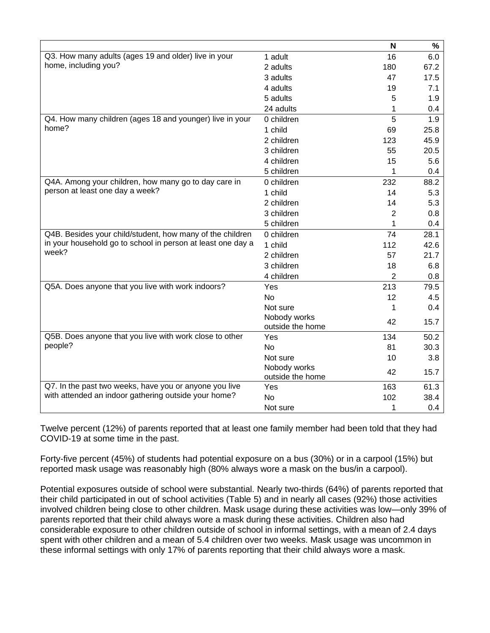|                                                             |                  | N              | $\%$ |
|-------------------------------------------------------------|------------------|----------------|------|
| Q3. How many adults (ages 19 and older) live in your        | 1 adult          | 16             | 6.0  |
| home, including you?                                        | 2 adults         | 180            | 67.2 |
|                                                             | 3 adults         | 47             | 17.5 |
|                                                             | 4 adults         | 19             | 7.1  |
|                                                             | 5 adults         | 5              | 1.9  |
|                                                             | 24 adults        | 1              | 0.4  |
| Q4. How many children (ages 18 and younger) live in your    | 0 children       | 5              | 1.9  |
| home?                                                       | 1 child          | 69             | 25.8 |
|                                                             | 2 children       | 123            | 45.9 |
|                                                             | 3 children       | 55             | 20.5 |
|                                                             | 4 children       | 15             | 5.6  |
|                                                             | 5 children       | 1              | 0.4  |
| Q4A. Among your children, how many go to day care in        | 0 children       | 232            | 88.2 |
| person at least one day a week?                             | 1 child          | 14             | 5.3  |
|                                                             | 2 children       | 14             | 5.3  |
|                                                             | 3 children       | $\overline{2}$ | 0.8  |
|                                                             | 5 children       | 1              | 0.4  |
| Q4B. Besides your child/student, how many of the children   | 0 children       | 74             | 28.1 |
| in your household go to school in person at least one day a | 1 child          | 112            | 42.6 |
| week?                                                       | 2 children       | 57             | 21.7 |
|                                                             | 3 children       | 18             | 6.8  |
|                                                             | 4 children       | $\overline{2}$ | 0.8  |
| Q5A. Does anyone that you live with work indoors?           | Yes              | 213            | 79.5 |
|                                                             | No               | 12             | 4.5  |
|                                                             | Not sure         | 1              | 0.4  |
|                                                             | Nobody works     | 42             | 15.7 |
|                                                             | outside the home |                |      |
| Q5B. Does anyone that you live with work close to other     | Yes              | 134            | 50.2 |
| people?                                                     | No               | 81             | 30.3 |
|                                                             | Not sure         | 10             | 3.8  |
|                                                             | Nobody works     | 42             | 15.7 |
|                                                             | outside the home |                |      |
| Q7. In the past two weeks, have you or anyone you live      | Yes              | 163            | 61.3 |
| with attended an indoor gathering outside your home?        | No               | 102            | 38.4 |
|                                                             | Not sure         | 1              | 0.4  |

Twelve percent (12%) of parents reported that at least one family member had been told that they had COVID-19 at some time in the past.

Forty-five percent (45%) of students had potential exposure on a bus (30%) or in a carpool (15%) but reported mask usage was reasonably high (80% always wore a mask on the bus/in a carpool).

Potential exposures outside of school were substantial. Nearly two-thirds (64%) of parents reported that their child participated in out of school activities (Table 5) and in nearly all cases (92%) those activities involved children being close to other children. Mask usage during these activities was low—only 39% of parents reported that their child always wore a mask during these activities. Children also had considerable exposure to other children outside of school in informal settings, with a mean of 2.4 days spent with other children and a mean of 5.4 children over two weeks. Mask usage was uncommon in these informal settings with only 17% of parents reporting that their child always wore a mask.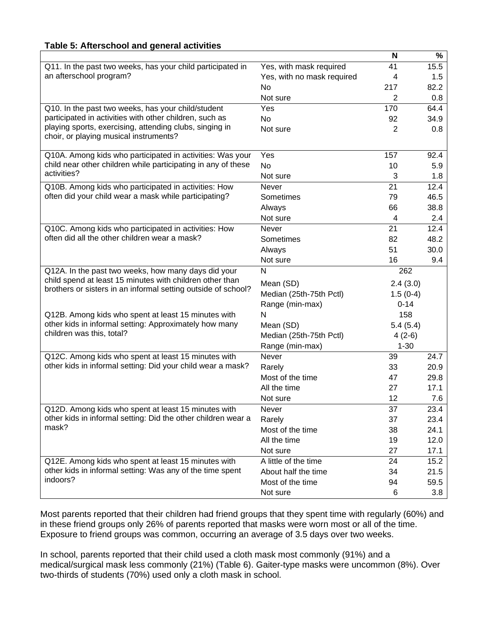|                                                               |                            | N              | %    |
|---------------------------------------------------------------|----------------------------|----------------|------|
| Q11. In the past two weeks, has your child participated in    | Yes, with mask required    | 41             | 15.5 |
| an afterschool program?                                       | Yes, with no mask required | 4              | 1.5  |
|                                                               | No                         | 217            | 82.2 |
|                                                               | Not sure                   | 2              | 0.8  |
| Q10. In the past two weeks, has your child/student            | Yes                        | 170            | 64.4 |
| participated in activities with other children, such as       | <b>No</b>                  | 92             | 34.9 |
| playing sports, exercising, attending clubs, singing in       | Not sure                   | $\overline{2}$ | 0.8  |
| choir, or playing musical instruments?                        |                            |                |      |
| Q10A. Among kids who participated in activities: Was your     | Yes                        | 157            | 92.4 |
| child near other children while participating in any of these | <b>No</b>                  | 10             | 5.9  |
| activities?                                                   | Not sure                   | 3              | 1.8  |
| Q10B. Among kids who participated in activities: How          | Never                      | 21             | 12.4 |
| often did your child wear a mask while participating?         | Sometimes                  | 79             | 46.5 |
|                                                               | Always                     | 66             | 38.8 |
|                                                               | Not sure                   | 4              | 2.4  |
| Q10C. Among kids who participated in activities: How          | <b>Never</b>               | 21             | 12.4 |
| often did all the other children wear a mask?                 | Sometimes                  | 82             | 48.2 |
|                                                               | Always                     | 51             | 30.0 |
|                                                               | Not sure                   | 16             | 9.4  |
| Q12A. In the past two weeks, how many days did your           | N                          | 262            |      |
| child spend at least 15 minutes with children other than      | Mean (SD)                  | 2.4(3.0)       |      |
| brothers or sisters in an informal setting outside of school? | Median (25th-75th Pctl)    | $1.5(0-4)$     |      |
|                                                               | Range (min-max)            | $0 - 14$       |      |
| Q12B. Among kids who spent at least 15 minutes with           | N                          | 158            |      |
| other kids in informal setting: Approximately how many        | Mean (SD)                  | 5.4(5.4)       |      |
| children was this, total?                                     | Median (25th-75th Pctl)    | $4(2-6)$       |      |
|                                                               | Range (min-max)            | $1 - 30$       |      |
| Q12C. Among kids who spent at least 15 minutes with           | Never                      | 39             | 24.7 |
| other kids in informal setting: Did your child wear a mask?   | Rarely                     | 33             | 20.9 |
|                                                               | Most of the time           | 47             | 29.8 |
|                                                               | All the time               | 27             | 17.1 |
|                                                               | Not sure                   | 12             | 7.6  |
| Q12D. Among kids who spent at least 15 minutes with           | Never                      | 37             | 23.4 |
| other kids in informal setting: Did the other children wear a | Rarely                     | 37             | 23.4 |
| mask?                                                         | Most of the time           | 38             | 24.1 |
|                                                               | All the time               | 19             | 12.0 |
|                                                               | Not sure                   | 27             | 17.1 |
| Q12E. Among kids who spent at least 15 minutes with           | A little of the time       | 24             | 15.2 |
| other kids in informal setting: Was any of the time spent     | About half the time        | 34             | 21.5 |
| indoors?                                                      | Most of the time           | 94             | 59.5 |
|                                                               | Not sure                   | 6              | 3.8  |

Most parents reported that their children had friend groups that they spent time with regularly (60%) and in these friend groups only 26% of parents reported that masks were worn most or all of the time. Exposure to friend groups was common, occurring an average of 3.5 days over two weeks.

In school, parents reported that their child used a cloth mask most commonly (91%) and a medical/surgical mask less commonly (21%) (Table 6). Gaiter-type masks were uncommon (8%). Over two-thirds of students (70%) used only a cloth mask in school.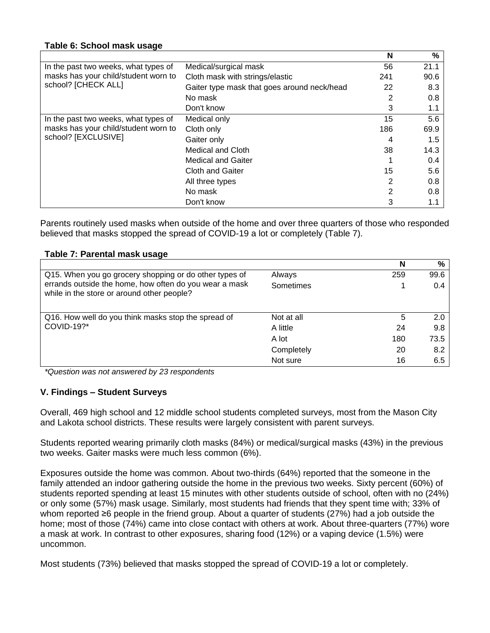|                                      |                                             | N   | %    |
|--------------------------------------|---------------------------------------------|-----|------|
| In the past two weeks, what types of | Medical/surgical mask                       | 56  | 21.1 |
| masks has your child/student worn to | Cloth mask with strings/elastic             | 241 | 90.6 |
| school? [CHECK ALL]                  | Gaiter type mask that goes around neck/head | 22  | 8.3  |
|                                      | No mask                                     |     | 0.8  |
|                                      | Don't know                                  | 3   | 1.1  |
| In the past two weeks, what types of | Medical only                                | 15  | 5.6  |
| masks has your child/student worn to | Cloth only                                  | 186 | 69.9 |
| school? [EXCLUSIVE]                  | Gaiter only                                 | 4   | 1.5  |
|                                      | Medical and Cloth                           | 38  | 14.3 |
|                                      | <b>Medical and Gaiter</b>                   |     | 0.4  |
|                                      | <b>Cloth and Gaiter</b>                     | 15  | 5.6  |
|                                      | All three types                             | 2   | 0.8  |
|                                      | No mask                                     | 2   | 0.8  |
|                                      | Don't know                                  | 3   | 1.1  |

Parents routinely used masks when outside of the home and over three quarters of those who responded believed that masks stopped the spread of COVID-19 a lot or completely (Table 7).

#### **Table 7: Parental mask usage**

|                                                                                                      |            | N   | %    |
|------------------------------------------------------------------------------------------------------|------------|-----|------|
| Q15. When you go grocery shopping or do other types of                                               | Always     | 259 | 99.6 |
| errands outside the home, how often do you wear a mask<br>while in the store or around other people? | Sometimes  |     | 0.4  |
| Q16. How well do you think masks stop the spread of                                                  | Not at all | 5   | 2.0  |
| COVID-19?*                                                                                           | A little   | 24  | 9.8  |
|                                                                                                      | A lot      | 180 | 73.5 |
|                                                                                                      | Completely | 20  | 8.2  |
|                                                                                                      | Not sure   | 16  | 6.5  |

*\*Question was not answered by 23 respondents*

#### **V. Findings – Student Surveys**

Overall, 469 high school and 12 middle school students completed surveys, most from the Mason City and Lakota school districts. These results were largely consistent with parent surveys.

Students reported wearing primarily cloth masks (84%) or medical/surgical masks (43%) in the previous two weeks. Gaiter masks were much less common (6%).

Exposures outside the home was common. About two-thirds (64%) reported that the someone in the family attended an indoor gathering outside the home in the previous two weeks. Sixty percent (60%) of students reported spending at least 15 minutes with other students outside of school, often with no (24%) or only some (57%) mask usage. Similarly, most students had friends that they spent time with; 33% of whom reported ≥6 people in the friend group. About a quarter of students (27%) had a job outside the home; most of those (74%) came into close contact with others at work. About three-quarters (77%) wore a mask at work. In contrast to other exposures, sharing food (12%) or a vaping device (1.5%) were uncommon.

Most students (73%) believed that masks stopped the spread of COVID-19 a lot or completely.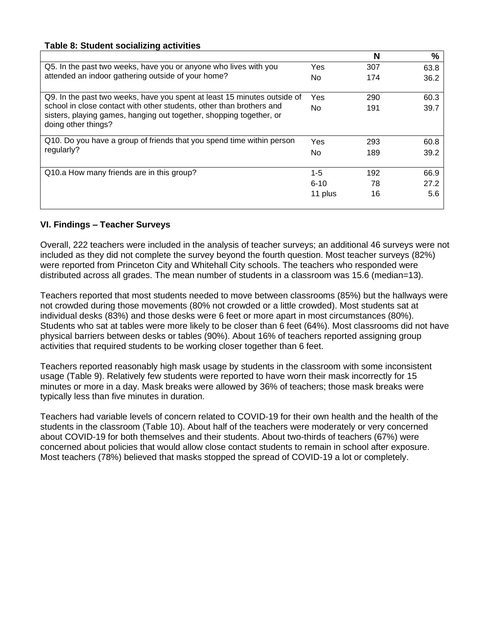#### **Table 8: Student socializing activities**

|                                                                                                                                                                    |          | N   | %    |
|--------------------------------------------------------------------------------------------------------------------------------------------------------------------|----------|-----|------|
| Q5. In the past two weeks, have you or anyone who lives with you                                                                                                   | Yes      | 307 | 63.8 |
| attended an indoor gathering outside of your home?                                                                                                                 | No       | 174 | 36.2 |
| Q9. In the past two weeks, have you spent at least 15 minutes outside of                                                                                           | Yes      | 290 | 60.3 |
| school in close contact with other students, other than brothers and<br>sisters, playing games, hanging out together, shopping together, or<br>doing other things? | No       | 191 | 39.7 |
| Q10. Do you have a group of friends that you spend time within person                                                                                              | Yes      | 293 | 60.8 |
| regularly?                                                                                                                                                         | No       | 189 | 39.2 |
| Q10.a How many friends are in this group?                                                                                                                          | $1 - 5$  | 192 | 66.9 |
|                                                                                                                                                                    | $6 - 10$ | 78  | 27.2 |
|                                                                                                                                                                    | 11 plus  | 16  | 5.6  |

#### **VI. Findings – Teacher Surveys**

Overall, 222 teachers were included in the analysis of teacher surveys; an additional 46 surveys were not included as they did not complete the survey beyond the fourth question. Most teacher surveys (82%) were reported from Princeton City and Whitehall City schools. The teachers who responded were distributed across all grades. The mean number of students in a classroom was 15.6 (median=13).

Teachers reported that most students needed to move between classrooms (85%) but the hallways were not crowded during those movements (80% not crowded or a little crowded). Most students sat at individual desks (83%) and those desks were 6 feet or more apart in most circumstances (80%). Students who sat at tables were more likely to be closer than 6 feet (64%). Most classrooms did not have physical barriers between desks or tables (90%). About 16% of teachers reported assigning group activities that required students to be working closer together than 6 feet.

Teachers reported reasonably high mask usage by students in the classroom with some inconsistent usage (Table 9). Relatively few students were reported to have worn their mask incorrectly for 15 minutes or more in a day. Mask breaks were allowed by 36% of teachers; those mask breaks were typically less than five minutes in duration.

Teachers had variable levels of concern related to COVID-19 for their own health and the health of the students in the classroom (Table 10). About half of the teachers were moderately or very concerned about COVID-19 for both themselves and their students. About two-thirds of teachers (67%) were concerned about policies that would allow close contact students to remain in school after exposure. Most teachers (78%) believed that masks stopped the spread of COVID-19 a lot or completely.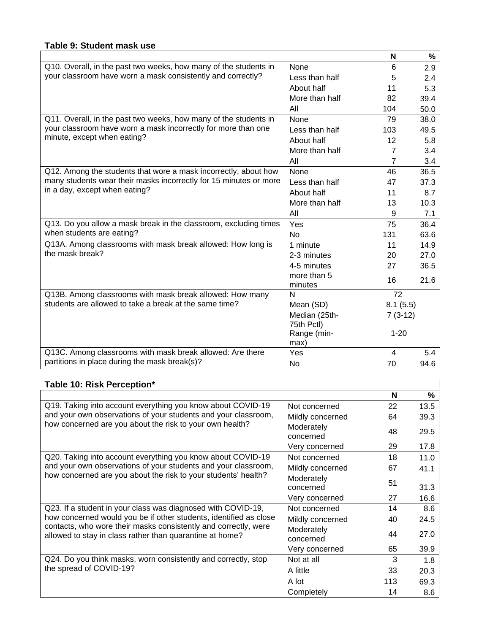#### **Table 9: Student mask use**

|                                                                   |                             | N                       | %    |
|-------------------------------------------------------------------|-----------------------------|-------------------------|------|
| Q10. Overall, in the past two weeks, how many of the students in  | None                        | 6                       | 2.9  |
| your classroom have worn a mask consistently and correctly?       | Less than half              | 5                       | 2.4  |
|                                                                   | About half                  | 11                      | 5.3  |
|                                                                   | More than half              | 82                      | 39.4 |
|                                                                   | All                         | 104                     | 50.0 |
| Q11. Overall, in the past two weeks, how many of the students in  | None                        | 79                      | 38.0 |
| your classroom have worn a mask incorrectly for more than one     | Less than half              | 103                     | 49.5 |
| minute, except when eating?                                       | About half                  | 12                      | 5.8  |
|                                                                   | More than half              | $\overline{7}$          | 3.4  |
|                                                                   | All                         | $\overline{7}$          | 3.4  |
| Q12. Among the students that wore a mask incorrectly, about how   | <b>None</b>                 | 46                      | 36.5 |
| many students wear their masks incorrectly for 15 minutes or more | Less than half              | 47                      | 37.3 |
| in a day, except when eating?                                     | About half                  | 11                      | 8.7  |
|                                                                   | More than half              | 13                      | 10.3 |
|                                                                   | All                         | 9                       | 7.1  |
| Q13. Do you allow a mask break in the classroom, excluding times  | Yes                         | 75                      | 36.4 |
| when students are eating?                                         | N <sub>o</sub>              | 131                     | 63.6 |
| Q13A. Among classrooms with mask break allowed: How long is       | 1 minute                    | 11                      | 14.9 |
| the mask break?                                                   | 2-3 minutes                 | 20                      | 27.0 |
|                                                                   | 4-5 minutes                 | 27                      | 36.5 |
|                                                                   | more than 5<br>minutes      | 16                      | 21.6 |
| Q13B. Among classrooms with mask break allowed: How many          | N                           | $\overline{72}$         |      |
| students are allowed to take a break at the same time?            | Mean (SD)                   | 8.1(5.5)                |      |
|                                                                   | Median (25th-<br>75th Pctl) | $7(3-12)$               |      |
|                                                                   | Range (min-<br>max)         | $1 - 20$                |      |
| Q13C. Among classrooms with mask break allowed: Are there         | Yes                         | $\overline{\mathbf{4}}$ | 5.4  |
| partitions in place during the mask break(s)?                     | No                          | 70                      | 94.6 |

#### **Table 10: Risk Perception\***

|                                                                                                                             |                         | N   | %    |
|-----------------------------------------------------------------------------------------------------------------------------|-------------------------|-----|------|
| Q19. Taking into account everything you know about COVID-19                                                                 | Not concerned           | 22  | 13.5 |
| and your own observations of your students and your classroom,                                                              | Mildly concerned        | 64  | 39.3 |
| how concerned are you about the risk to your own health?                                                                    | Moderately<br>concerned | 48  | 29.5 |
|                                                                                                                             | Very concerned          | 29  | 17.8 |
| Q20. Taking into account everything you know about COVID-19                                                                 | Not concerned           | 18  | 11.0 |
| and your own observations of your students and your classroom,                                                              | Mildly concerned        | 67  | 41.1 |
| how concerned are you about the risk to your students' health?                                                              | Moderately<br>concerned | 51  | 31.3 |
|                                                                                                                             | Very concerned          | 27  | 16.6 |
| Q23. If a student in your class was diagnosed with COVID-19,                                                                | Not concerned           | 14  | 8.6  |
| how concerned would you be if other students, identified as close                                                           | Mildly concerned        | 40  | 24.5 |
| contacts, who wore their masks consistently and correctly, were<br>allowed to stay in class rather than quarantine at home? | Moderately<br>concerned | 44  | 27.0 |
|                                                                                                                             | Very concerned          | 65  | 39.9 |
| Q24. Do you think masks, worn consistently and correctly, stop                                                              | Not at all              | 3   | 1.8  |
| the spread of COVID-19?                                                                                                     | A little                | 33  | 20.3 |
|                                                                                                                             | A lot                   | 113 | 69.3 |
|                                                                                                                             | Completely              | 14  | 8.6  |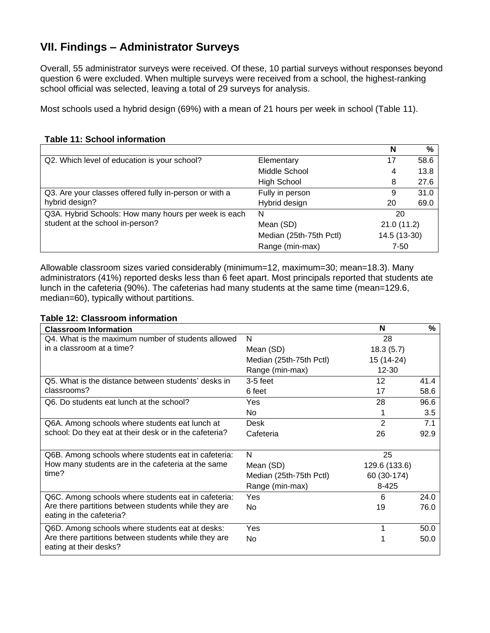## **VII. Findings – Administrator Surveys**

Overall, 55 administrator surveys were received. Of these, 10 partial surveys without responses beyond question 6 were excluded. When multiple surveys were received from a school, the highest-ranking school official was selected, leaving a total of 29 surveys for analysis.

Most schools used a hybrid design (69%) with a mean of 21 hours per week in school (Table 11).

|  | <b>Table 11: School information</b> |
|--|-------------------------------------|
|  |                                     |

|                                                        |                         | N            | %    |
|--------------------------------------------------------|-------------------------|--------------|------|
| Q2. Which level of education is your school?           | Elementary              | 17           | 58.6 |
|                                                        | Middle School           | 4            | 13.8 |
|                                                        | High School             | 8            | 27.6 |
| Q3. Are your classes offered fully in-person or with a | Fully in person         | 9            | 31.0 |
| hybrid design?                                         | Hybrid design           | 20           | 69.0 |
| Q3A. Hybrid Schools: How many hours per week is each   | N                       | 20           |      |
| student at the school in-person?                       | Mean (SD)               | 21.0(11.2)   |      |
|                                                        | Median (25th-75th Pctl) | 14.5 (13-30) |      |
|                                                        | Range (min-max)         | $7 - 50$     |      |

Allowable classroom sizes varied considerably (minimum=12, maximum=30; mean=18.3). Many administrators (41%) reported desks less than 6 feet apart. Most principals reported that students ate lunch in the cafeteria (90%). The cafeterias had many students at the same time (mean=129.6, median=60), typically without partitions.

#### **Table 12: Classroom information**

| <b>Classroom Information</b>                           |                         | N              | ℅    |  |
|--------------------------------------------------------|-------------------------|----------------|------|--|
| Q4. What is the maximum number of students allowed     | N                       | 28             |      |  |
| in a classroom at a time?                              | Mean (SD)               | 18.3(5.7)      |      |  |
|                                                        | Median (25th-75th Pctl) | 15 (14-24)     |      |  |
|                                                        | Range (min-max)         | $12 - 30$      |      |  |
| Q5. What is the distance between students' desks in    | $3-5$ feet              | 12             | 41.4 |  |
| classrooms?                                            | 6 feet                  | 17             | 58.6 |  |
| Q6. Do students eat lunch at the school?               | Yes                     | 28             | 96.6 |  |
|                                                        | No.                     |                | 3.5  |  |
| Q6A. Among schools where students eat lunch at         | Desk                    | $\overline{2}$ | 7.1  |  |
| school: Do they eat at their desk or in the cafeteria? | Cafeteria               | 26             | 92.9 |  |
|                                                        |                         |                |      |  |
| Q6B. Among schools where students eat in cafeteria:    | N                       | 25             |      |  |
| How many students are in the cafeteria at the same     | Mean (SD)               | 129.6 (133.6)  |      |  |
| time?                                                  | Median (25th-75th Pctl) | 60 (30-174)    |      |  |
|                                                        | Range (min-max)         | 8-425          |      |  |
| Q6C. Among schools where students eat in cafeteria:    | Yes                     | 6              | 24.0 |  |
| Are there partitions between students while they are   | No.                     | 19             | 76.0 |  |
| eating in the cafeteria?                               |                         |                |      |  |
| Q6D. Among schools where students eat at desks:        | Yes                     | 1              | 50.0 |  |
| Are there partitions between students while they are   | No.                     |                | 50.0 |  |
| eating at their desks?                                 |                         |                |      |  |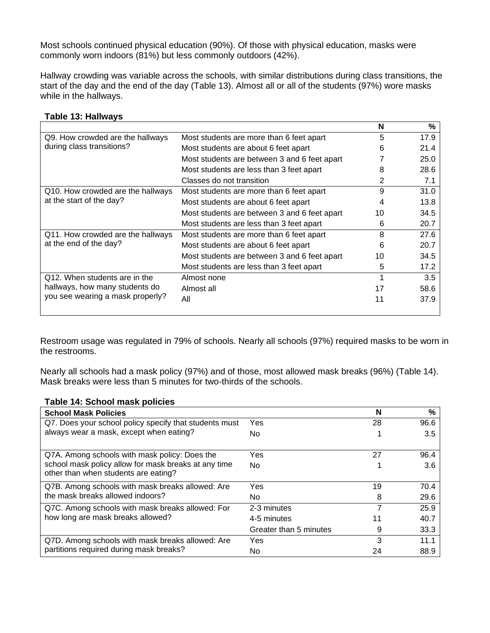Most schools continued physical education (90%). Of those with physical education, masks were commonly worn indoors (81%) but less commonly outdoors (42%).

Hallway crowding was variable across the schools, with similar distributions during class transitions, the start of the day and the end of the day (Table 13). Almost all or all of the students (97%) wore masks while in the hallways.

|                                                                                                     |                                              | N  | %    |
|-----------------------------------------------------------------------------------------------------|----------------------------------------------|----|------|
| Q9. How crowded are the hallways<br>during class transitions?                                       | Most students are more than 6 feet apart     | 5  | 17.9 |
|                                                                                                     | Most students are about 6 feet apart         | 6  | 21.4 |
|                                                                                                     | Most students are between 3 and 6 feet apart |    | 25.0 |
|                                                                                                     | Most students are less than 3 feet apart     | 8  | 28.6 |
|                                                                                                     | Classes do not transition                    | 2  | 7.1  |
| Q10. How crowded are the hallways<br>at the start of the day?                                       | Most students are more than 6 feet apart     | 9  | 31.0 |
|                                                                                                     | Most students are about 6 feet apart         | 4  | 13.8 |
|                                                                                                     | Most students are between 3 and 6 feet apart | 10 | 34.5 |
|                                                                                                     | Most students are less than 3 feet apart     | 6  | 20.7 |
| Q11. How crowded are the hallways<br>at the end of the day?                                         | Most students are more than 6 feet apart     | 8  | 27.6 |
|                                                                                                     | Most students are about 6 feet apart         | 6  | 20.7 |
|                                                                                                     | Most students are between 3 and 6 feet apart | 10 | 34.5 |
|                                                                                                     | Most students are less than 3 feet apart     | 5  | 17.2 |
| Q12. When students are in the<br>hallways, how many students do<br>you see wearing a mask properly? | Almost none                                  |    | 3.5  |
|                                                                                                     | Almost all                                   | 17 | 58.6 |
|                                                                                                     | All                                          | 11 | 37.9 |

#### **Table 13: Hallways**

Restroom usage was regulated in 79% of schools. Nearly all schools (97%) required masks to be worn in the restrooms.

Nearly all schools had a mask policy (97%) and of those, most allowed mask breaks (96%) (Table 14). Mask breaks were less than 5 minutes for two-thirds of the schools.

#### **Table 14: School mask policies**

| <b>School Mask Policies</b>                                                                                                                   |                        | N  | $\%$ |
|-----------------------------------------------------------------------------------------------------------------------------------------------|------------------------|----|------|
| Q7. Does your school policy specify that students must<br>always wear a mask, except when eating?                                             | Yes                    | 28 | 96.6 |
|                                                                                                                                               | No.                    |    | 3.5  |
| Q7A. Among schools with mask policy: Does the<br>school mask policy allow for mask breaks at any time<br>other than when students are eating? | Yes                    | 27 | 96.4 |
|                                                                                                                                               | No.                    |    | 3.6  |
| Q7B. Among schools with mask breaks allowed: Are<br>the mask breaks allowed indoors?                                                          | Yes                    | 19 | 70.4 |
|                                                                                                                                               | No.                    | 8  | 29.6 |
| Q7C. Among schools with mask breaks allowed: For<br>how long are mask breaks allowed?                                                         | 2-3 minutes            |    | 25.9 |
|                                                                                                                                               | 4-5 minutes            | 11 | 40.7 |
|                                                                                                                                               | Greater than 5 minutes | 9  | 33.3 |
| Q7D. Among schools with mask breaks allowed: Are<br>partitions required during mask breaks?                                                   | Yes                    | 3  | 11.1 |
|                                                                                                                                               | No                     | 24 | 88.9 |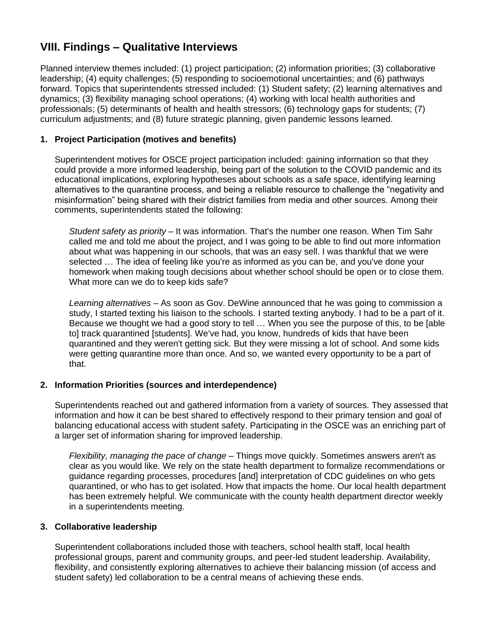## **VIII. Findings – Qualitative Interviews**

Planned interview themes included: (1) project participation; (2) information priorities; (3) collaborative leadership; (4) equity challenges; (5) responding to socioemotional uncertainties; and (6) pathways forward. Topics that superintendents stressed included: (1) Student safety; (2) learning alternatives and dynamics; (3) flexibility managing school operations; (4) working with local health authorities and professionals; (5) determinants of health and health stressors; (6) technology gaps for students; (7) curriculum adjustments; and (8) future strategic planning, given pandemic lessons learned.

#### **1. Project Participation (motives and benefits)**

Superintendent motives for OSCE project participation included: gaining information so that they could provide a more informed leadership, being part of the solution to the COVID pandemic and its educational implications, exploring hypotheses about schools as a safe space, identifying learning alternatives to the quarantine process, and being a reliable resource to challenge the "negativity and misinformation" being shared with their district families from media and other sources. Among their comments, superintendents stated the following:

*Student safety as priority –* It was information. That's the number one reason. When Tim Sahr called me and told me about the project, and I was going to be able to find out more information about what was happening in our schools, that was an easy sell. I was thankful that we were selected … The idea of feeling like you're as informed as you can be, and you've done your homework when making tough decisions about whether school should be open or to close them. What more can we do to keep kids safe?

*Learning alternatives –* As soon as Gov. DeWine announced that he was going to commission a study, I started texting his liaison to the schools. I started texting anybody. I had to be a part of it. Because we thought we had a good story to tell … When you see the purpose of this, to be [able to] track quarantined [students]. We've had, you know, hundreds of kids that have been quarantined and they weren't getting sick. But they were missing a lot of school. And some kids were getting quarantine more than once. And so, we wanted every opportunity to be a part of that.

#### **2. Information Priorities (sources and interdependence)**

Superintendents reached out and gathered information from a variety of sources. They assessed that information and how it can be best shared to effectively respond to their primary tension and goal of balancing educational access with student safety. Participating in the OSCE was an enriching part of a larger set of information sharing for improved leadership.

*Flexibility, managing the pace of change –* Things move quickly. Sometimes answers aren't as clear as you would like. We rely on the state health department to formalize recommendations or guidance regarding processes, procedures [and] interpretation of CDC guidelines on who gets quarantined, or who has to get isolated. How that impacts the home. Our local health department has been extremely helpful. We communicate with the county health department director weekly in a superintendents meeting.

#### **3. Collaborative leadership**

Superintendent collaborations included those with teachers, school health staff, local health professional groups, parent and community groups, and peer-led student leadership. Availability, flexibility, and consistently exploring alternatives to achieve their balancing mission (of access and student safety) led collaboration to be a central means of achieving these ends.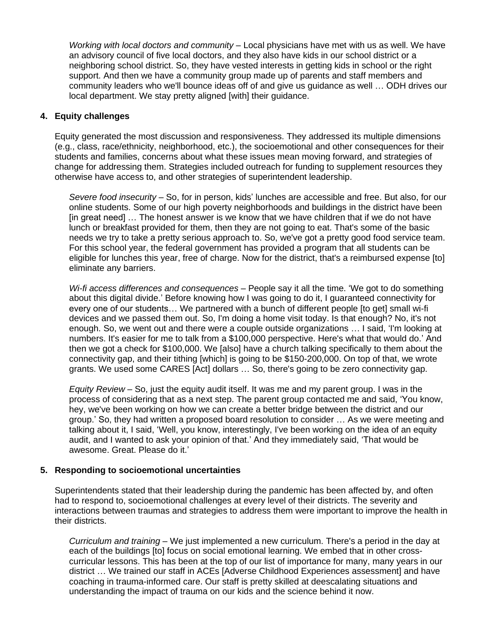*Working with local doctors and community –* Local physicians have met with us as well. We have an advisory council of five local doctors, and they also have kids in our school district or a neighboring school district. So, they have vested interests in getting kids in school or the right support. And then we have a community group made up of parents and staff members and community leaders who we'll bounce ideas off of and give us guidance as well … ODH drives our local department. We stay pretty aligned [with] their guidance.

#### **4. Equity challenges**

Equity generated the most discussion and responsiveness. They addressed its multiple dimensions (e.g., class, race/ethnicity, neighborhood, etc.), the socioemotional and other consequences for their students and families, concerns about what these issues mean moving forward, and strategies of change for addressing them. Strategies included outreach for funding to supplement resources they otherwise have access to, and other strategies of superintendent leadership.

*Severe food insecurity –* So, for in person, kids' lunches are accessible and free. But also, for our online students. Some of our high poverty neighborhoods and buildings in the district have been [in great need] … The honest answer is we know that we have children that if we do not have lunch or breakfast provided for them, then they are not going to eat. That's some of the basic needs we try to take a pretty serious approach to. So, we've got a pretty good food service team. For this school year, the federal government has provided a program that all students can be eligible for lunches this year, free of charge. Now for the district, that's a reimbursed expense [to] eliminate any barriers.

*Wi-fi access differences and consequences –* People say it all the time. 'We got to do something about this digital divide.' Before knowing how I was going to do it, I guaranteed connectivity for every one of our students… We partnered with a bunch of different people [to get] small wi-fi devices and we passed them out. So, I'm doing a home visit today. Is that enough? No, it's not enough. So, we went out and there were a couple outside organizations … I said, 'I'm looking at numbers. It's easier for me to talk from a \$100,000 perspective. Here's what that would do.' And then we got a check for \$100,000. We [also] have a church talking specifically to them about the connectivity gap, and their tithing [which] is going to be \$150-200,000. On top of that, we wrote grants. We used some CARES [Act] dollars … So, there's going to be zero connectivity gap.

*Equity Review –* So, just the equity audit itself. It was me and my parent group. I was in the process of considering that as a next step. The parent group contacted me and said, 'You know, hey, we've been working on how we can create a better bridge between the district and our group.' So, they had written a proposed board resolution to consider … As we were meeting and talking about it, I said, 'Well, you know, interestingly, I've been working on the idea of an equity audit, and I wanted to ask your opinion of that.' And they immediately said, 'That would be awesome. Great. Please do it.'

#### **5. Responding to socioemotional uncertainties**

Superintendents stated that their leadership during the pandemic has been affected by, and often had to respond to, socioemotional challenges at every level of their districts. The severity and interactions between traumas and strategies to address them were important to improve the health in their districts.

*Curriculum and training –* We just implemented a new curriculum. There's a period in the day at each of the buildings [to] focus on social emotional learning. We embed that in other crosscurricular lessons. This has been at the top of our list of importance for many, many years in our district … We trained our staff in ACEs [Adverse Childhood Experiences assessment] and have coaching in trauma-informed care. Our staff is pretty skilled at deescalating situations and understanding the impact of trauma on our kids and the science behind it now.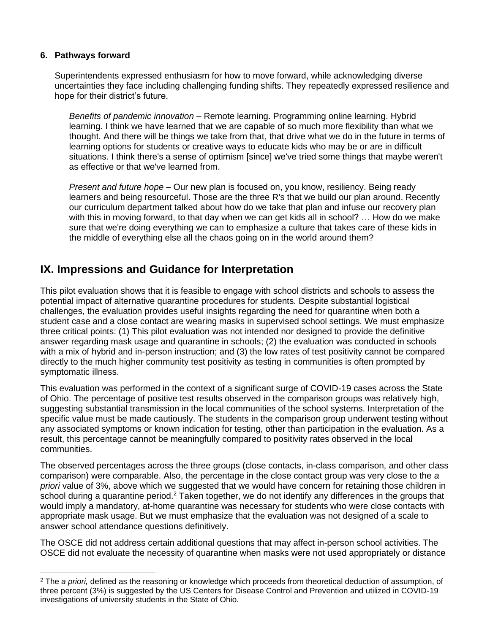#### **6. Pathways forward**

Superintendents expressed enthusiasm for how to move forward, while acknowledging diverse uncertainties they face including challenging funding shifts. They repeatedly expressed resilience and hope for their district's future.

*Benefits of pandemic innovation –* Remote learning. Programming online learning. Hybrid learning. I think we have learned that we are capable of so much more flexibility than what we thought. And there will be things we take from that, that drive what we do in the future in terms of learning options for students or creative ways to educate kids who may be or are in difficult situations. I think there's a sense of optimism [since] we've tried some things that maybe weren't as effective or that we've learned from.

*Present and future hope –* Our new plan is focused on, you know, resiliency. Being ready learners and being resourceful. Those are the three R's that we build our plan around. Recently our curriculum department talked about how do we take that plan and infuse our recovery plan with this in moving forward, to that day when we can get kids all in school? ... How do we make sure that we're doing everything we can to emphasize a culture that takes care of these kids in the middle of everything else all the chaos going on in the world around them?

## **IX. Impressions and Guidance for Interpretation**

This pilot evaluation shows that it is feasible to engage with school districts and schools to assess the potential impact of alternative quarantine procedures for students. Despite substantial logistical challenges, the evaluation provides useful insights regarding the need for quarantine when both a student case and a close contact are wearing masks in supervised school settings. We must emphasize three critical points: (1) This pilot evaluation was not intended nor designed to provide the definitive answer regarding mask usage and quarantine in schools; (2) the evaluation was conducted in schools with a mix of hybrid and in-person instruction; and (3) the low rates of test positivity cannot be compared directly to the much higher community test positivity as testing in communities is often prompted by symptomatic illness.

This evaluation was performed in the context of a significant surge of COVID-19 cases across the State of Ohio. The percentage of positive test results observed in the comparison groups was relatively high, suggesting substantial transmission in the local communities of the school systems. Interpretation of the specific value must be made cautiously. The students in the comparison group underwent testing without any associated symptoms or known indication for testing, other than participation in the evaluation. As a result, this percentage cannot be meaningfully compared to positivity rates observed in the local communities.

The observed percentages across the three groups (close contacts, in-class comparison, and other class comparison) were comparable. Also, the percentage in the close contact group was very close to the *a priori* value of 3%, above which we suggested that we would have concern for retaining those children in school during a quarantine period.<sup>2</sup> Taken together, we do not identify any differences in the groups that would imply a mandatory, at-home quarantine was necessary for students who were close contacts with appropriate mask usage. But we must emphasize that the evaluation was not designed of a scale to answer school attendance questions definitively.

The OSCE did not address certain additional questions that may affect in-person school activities. The OSCE did not evaluate the necessity of quarantine when masks were not used appropriately or distance

<sup>2</sup> The *a priori,* defined as the reasoning or knowledge which proceeds from theoretical deduction of assumption, of three percent (3%) is suggested by the US Centers for Disease Control and Prevention and utilized in COVID-19 investigations of university students in the State of Ohio.